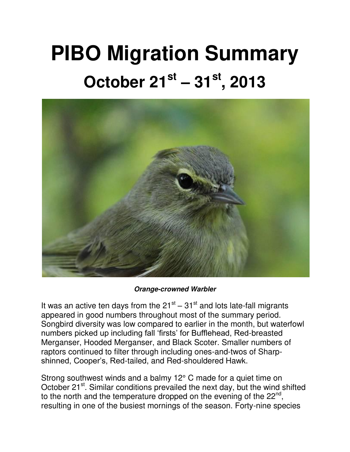## **PIBO Migration Summary October 21st – 31st, 2013**



*Orange-crowned Warbler*

It was an active ten days from the  $21^{st} - 31^{st}$  and lots late-fall migrants appeared in good numbers throughout most of the summary period. Songbird diversity was low compared to earlier in the month, but waterfowl numbers picked up including fall 'firsts' for Bufflehead, Red-breasted Merganser, Hooded Merganser, and Black Scoter. Smaller numbers of raptors continued to filter through including ones-and-twos of Sharpshinned, Cooper's, Red-tailed, and Red-shouldered Hawk.

Strong southwest winds and a balmy 12° C made for a quiet time on October 21<sup>st</sup>. Similar conditions prevailed the next day, but the wind shifted to the north and the temperature dropped on the evening of the 22<sup>nd</sup>, resulting in one of the busiest mornings of the season. Forty-nine species